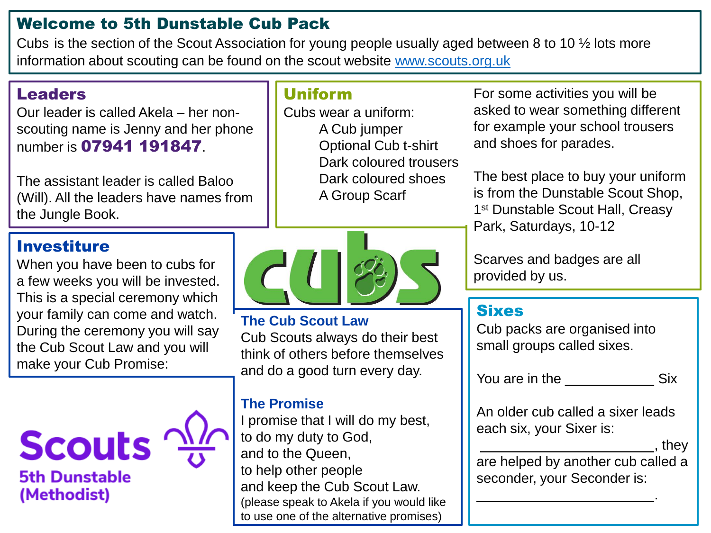## Welcome to 5th Dunstable Cub Pack

Cubs is the section of the Scout Association for young people usually aged between 8 to 10 ½ lots more information about scouting can be found on the scout website [www.scouts.org.uk](http://www.scouts.org.uk/)

# Leaders

Our leader is called Akela – her nonscouting name is Jenny and her phone number is 07941 191847.

The assistant leader is called Baloo (Will). All the leaders have names from the Jungle Book.

# Uniform

Cubs wear a uniform: A Cub jumper Optional Cub t-shirt Dark coloured trousers Dark coloured shoes A Group Scarf

### Investiture

When you have been to cubs for a few weeks you will be invested. This is a special ceremony which your family can come and watch. During the ceremony you will say the Cub Scout Law and you will make your Cub Promise:





#### **The Cub Scout Law**

Cub Scouts always do their best think of others before themselves and do a good turn every day.

#### **The Promise**

I promise that I will do my best, to do my duty to God, and to the Queen, to help other people and keep the Cub Scout Law. (please speak to Akela if you would like to use one of the alternative promises)

For some activities you will be asked to wear something different for example your school trousers and shoes for parades.

The best place to buy your uniform is from the Dunstable Scout Shop, 1<sup>st</sup> Dunstable Scout Hall, Creasy Park, Saturdays, 10-12

Scarves and badges are all provided by us.

## Sixes

Cub packs are organised into small groups called sixes.

You are in the Six

An older cub called a sixer leads each six, your Sixer is:

, they

.

are helped by another cub called a seconder, your Seconder is: